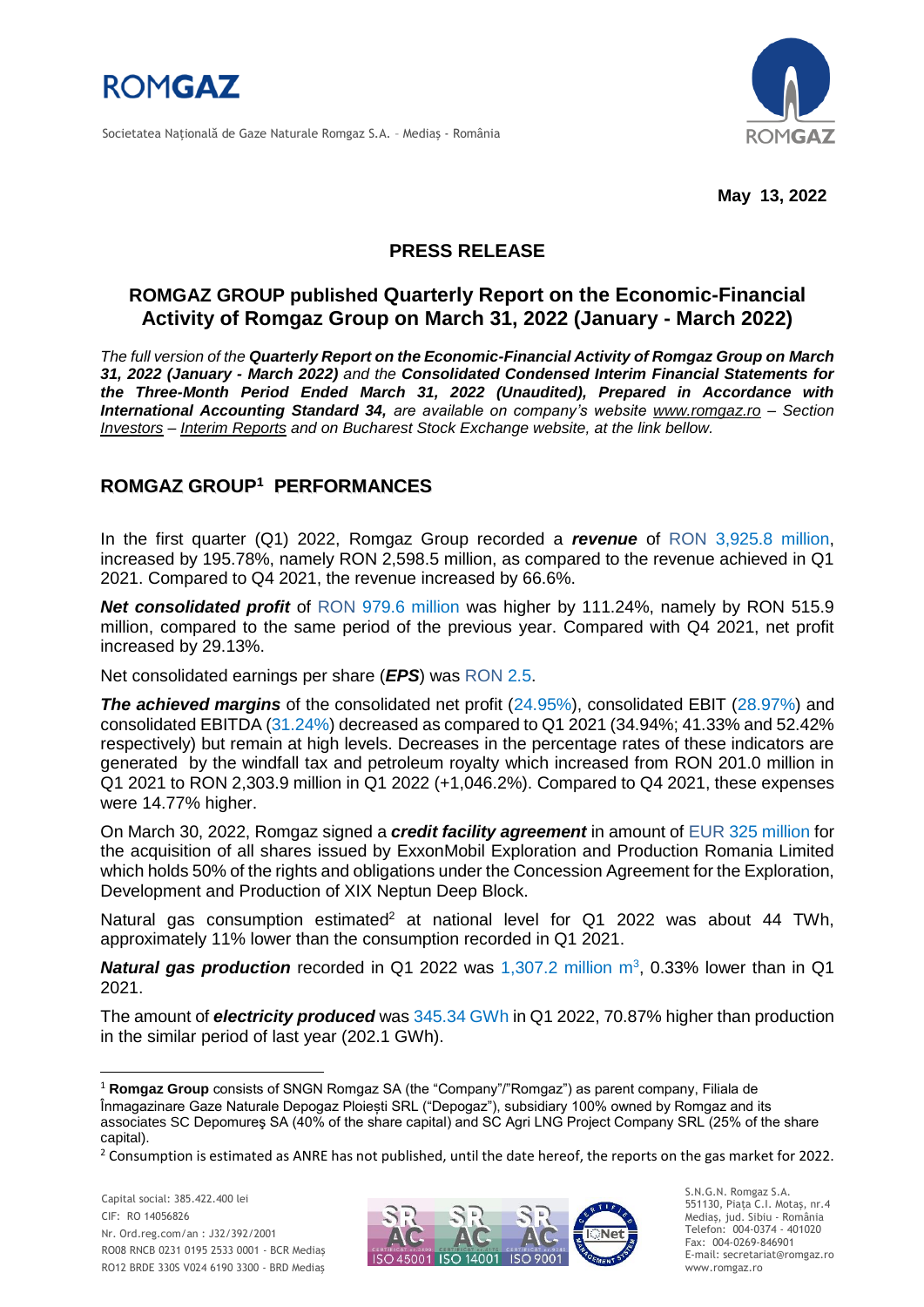

Societatea Naţională de Gaze Naturale Romgaz S.A. – Mediaş - România



**May 13, 2022**

# **PRESS RELEASE**

# **ROMGAZ GROUP published Quarterly Report on the Economic-Financial Activity of Romgaz Group on March 31, 2022 (January - March 2022)**

*The full version of the Quarterly Report on the Economic-Financial Activity of Romgaz Group on March 31, 2022 (January - March 2022) and the Consolidated Condensed Interim Financial Statements for the Three-Month Period Ended March 31, 2022 (Unaudited), Prepared in Accordance with International Accounting Standard 34, are available on company's website [www.romgaz.ro](https://www.romgaz.ro/en) – Section Investors – Interim Reports and on Bucharest Stock Exchange website, at the link bellow.*

## **ROMGAZ GROUP<sup>1</sup> PERFORMANCES**

In the first quarter (Q1) 2022, Romgaz Group recorded a *revenue* of RON 3,925.8 million, increased by 195.78%, namely RON 2,598.5 million, as compared to the revenue achieved in Q1 2021. Compared to Q4 2021, the revenue increased by 66.6%.

*Net consolidated profit* of RON 979.6 million was higher by 111.24%, namely by RON 515.9 million, compared to the same period of the previous year. Compared with Q4 2021, net profit increased by 29.13%.

Net consolidated earnings per share (*EPS*) was RON 2.5.

**The achieved margins** of the consolidated net profit (24.95%), consolidated EBIT (28.97%) and consolidated EBITDA (31.24%) decreased as compared to Q1 2021 (34.94%; 41.33% and 52.42% respectively) but remain at high levels. Decreases in the percentage rates of these indicators are generated by the windfall tax and petroleum royalty which increased from RON 201.0 million in Q1 2021 to RON 2,303.9 million in Q1 2022 (+1,046.2%). Compared to Q4 2021, these expenses were 14.77% higher.

On March 30, 2022, Romgaz signed a *credit facility agreement* in amount of EUR 325 million for the acquisition of all shares issued by ExxonMobil Exploration and Production Romania Limited which holds 50% of the rights and obligations under the Concession Agreement for the Exploration, Development and Production of XIX Neptun Deep Block.

Natural gas consumption estimated<sup>2</sup> at national level for Q1 2022 was about 44 TWh, approximately 11% lower than the consumption recorded in Q1 2021.

**Natural gas production** recorded in Q1 2022 was 1,307.2 million m<sup>3</sup>, 0.33% lower than in Q1 2021.

The amount of *electricity produced* was 345.34 GWh in Q1 2022, 70.87% higher than production in the similar period of last year (202.1 GWh).

-



S.N.G.N. Romgaz S.A. 551130, Piața C.I. Motaş, nr.4 Mediaş, jud. Sibiu - România Telefon: 004-0374 - 401020 Fax: 004-0269-846901 E-mail: secretariat@romgaz.ro www.romgaz.ro

<sup>1</sup> **Romgaz Group** consists of SNGN Romgaz SA (the "Company"/"Romgaz") as parent company, Filiala de Înmagazinare Gaze Naturale Depogaz Ploiești SRL ("Depogaz"), subsidiary 100% owned by Romgaz and its associates SC Depomureş SA (40% of the share capital) and SC Agri LNG Project Company SRL (25% of the share capital).

<sup>&</sup>lt;sup>2</sup> Consumption is estimated as ANRE has not published, until the date hereof, the reports on the gas market for 2022.